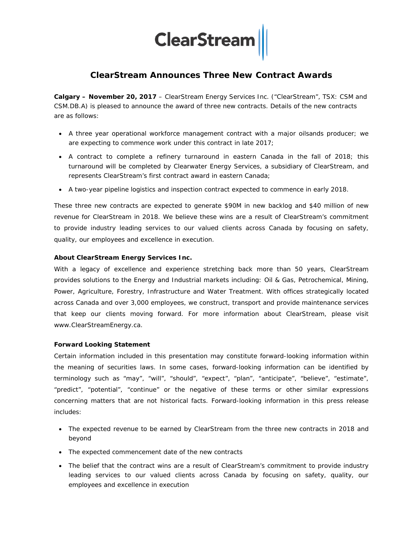## **ClearStream**

### **ClearStream Announces Three New Contract Awards**

**Calgary – November 20, 2017** – ClearStream Energy Services Inc. ("ClearStream", TSX: CSM and CSM.DB.A) is pleased to announce the award of three new contracts. Details of the new contracts are as follows:

- A three year operational workforce management contract with a major oilsands producer; we are expecting to commence work under this contract in late 2017;
- A contract to complete a refinery turnaround in eastern Canada in the fall of 2018; this turnaround will be completed by Clearwater Energy Services, a subsidiary of ClearStream, and represents ClearStream's first contract award in eastern Canada;
- A two-year pipeline logistics and inspection contract expected to commence in early 2018.

These three new contracts are expected to generate \$90M in new backlog and \$40 million of new revenue for ClearStream in 2018. We believe these wins are a result of ClearStream's commitment to provide industry leading services to our valued clients across Canada by focusing on safety, quality, our employees and excellence in execution.

#### **About ClearStream Energy Services Inc.**

With a legacy of excellence and experience stretching back more than 50 years, ClearStream provides solutions to the Energy and Industrial markets including: Oil & Gas, Petrochemical, Mining, Power, Agriculture, Forestry, Infrastructure and Water Treatment. With offices strategically located across Canada and over 3,000 employees, we construct, transport and provide maintenance services that keep our clients moving forward. For more information about ClearStream, please visit [www.ClearStreamEnergy.ca.](http://www.clearstreamenergy.ca/)

#### **Forward Looking Statement**

Certain information included in this presentation may constitute forward-looking information within the meaning of securities laws. In some cases, forward-looking information can be identified by terminology such as "may", "will", "should", "expect", "plan", "anticipate", "believe", "estimate", "predict", "potential", "continue" or the negative of these terms or other similar expressions concerning matters that are not historical facts. Forward-looking information in this press release includes:

- The expected revenue to be earned by ClearStream from the three new contracts in 2018 and beyond
- The expected commencement date of the new contracts
- The belief that the contract wins are a result of ClearStream's commitment to provide industry leading services to our valued clients across Canada by focusing on safety, quality, our employees and excellence in execution